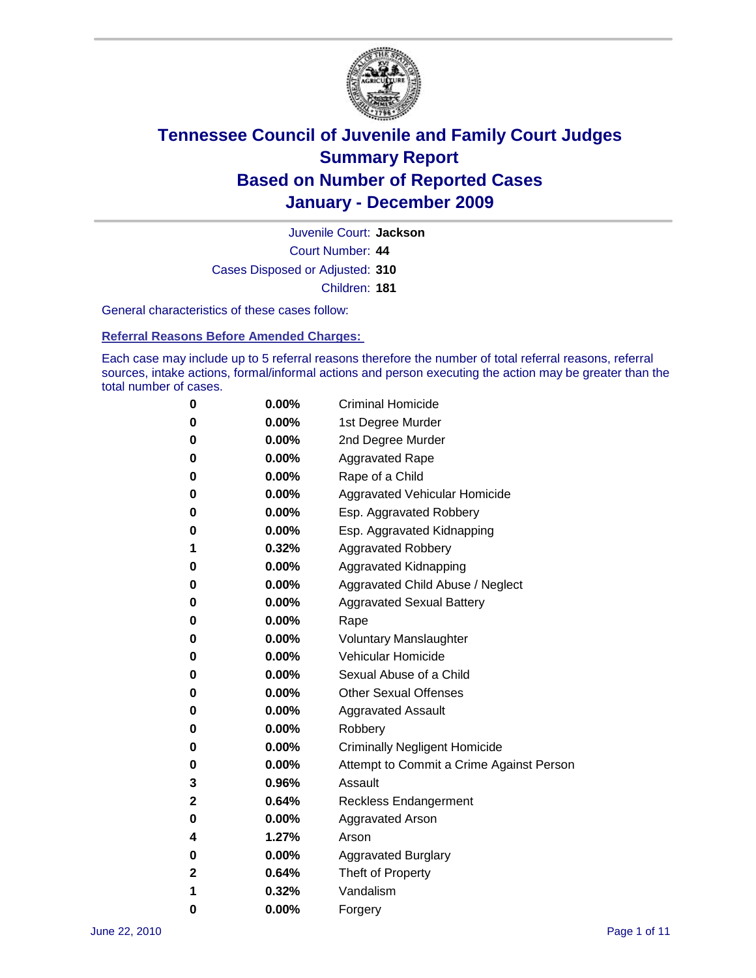

Court Number: **44** Juvenile Court: **Jackson** Cases Disposed or Adjusted: **310** Children: **181**

General characteristics of these cases follow:

**Referral Reasons Before Amended Charges:** 

Each case may include up to 5 referral reasons therefore the number of total referral reasons, referral sources, intake actions, formal/informal actions and person executing the action may be greater than the total number of cases.

| 0 | $0.00\%$ | <b>Criminal Homicide</b>                 |
|---|----------|------------------------------------------|
| 0 | $0.00\%$ | 1st Degree Murder                        |
| 0 | $0.00\%$ | 2nd Degree Murder                        |
| 0 | $0.00\%$ | <b>Aggravated Rape</b>                   |
| 0 | $0.00\%$ | Rape of a Child                          |
| 0 | $0.00\%$ | Aggravated Vehicular Homicide            |
| 0 | $0.00\%$ | Esp. Aggravated Robbery                  |
| 0 | $0.00\%$ | Esp. Aggravated Kidnapping               |
| 1 | 0.32%    | <b>Aggravated Robbery</b>                |
| 0 | $0.00\%$ | Aggravated Kidnapping                    |
| 0 | $0.00\%$ | Aggravated Child Abuse / Neglect         |
| 0 | $0.00\%$ | <b>Aggravated Sexual Battery</b>         |
| 0 | 0.00%    | Rape                                     |
| 0 | $0.00\%$ | <b>Voluntary Manslaughter</b>            |
| 0 | $0.00\%$ | Vehicular Homicide                       |
| 0 | $0.00\%$ | Sexual Abuse of a Child                  |
| 0 | $0.00\%$ | <b>Other Sexual Offenses</b>             |
| 0 | $0.00\%$ | <b>Aggravated Assault</b>                |
| 0 | $0.00\%$ | Robbery                                  |
| 0 | $0.00\%$ | <b>Criminally Negligent Homicide</b>     |
| 0 | $0.00\%$ | Attempt to Commit a Crime Against Person |
| 3 | 0.96%    | Assault                                  |
| 2 | 0.64%    | <b>Reckless Endangerment</b>             |
| 0 | $0.00\%$ | <b>Aggravated Arson</b>                  |
| 4 | 1.27%    | Arson                                    |
| 0 | $0.00\%$ | <b>Aggravated Burglary</b>               |
| 2 | 0.64%    | Theft of Property                        |
| 1 | 0.32%    | Vandalism                                |
| 0 | 0.00%    | Forgery                                  |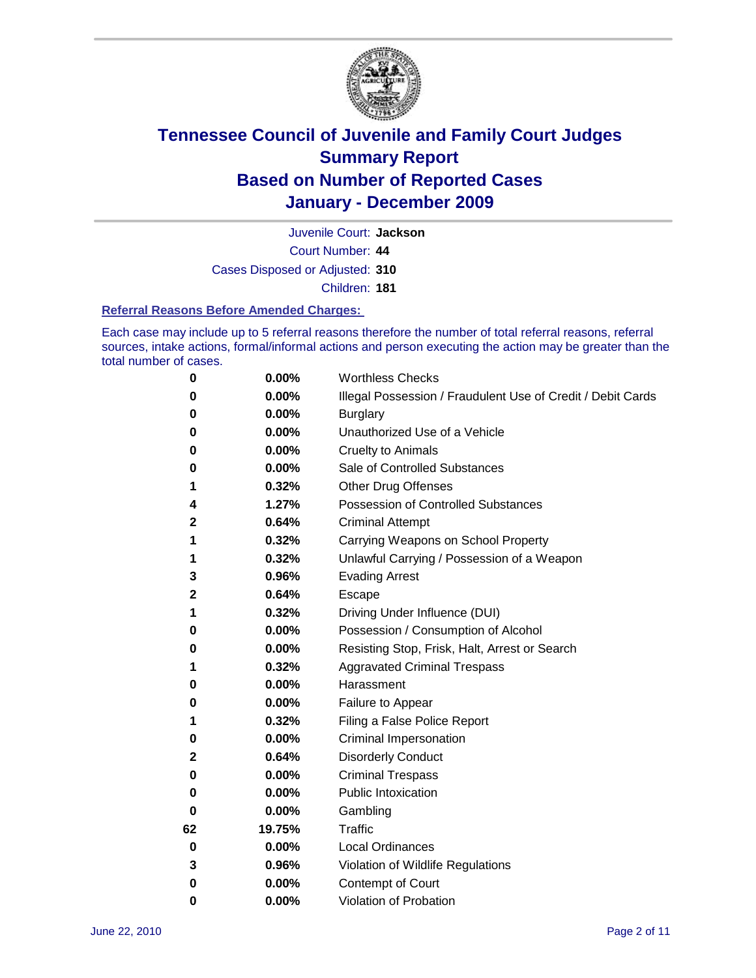

Juvenile Court: **Jackson**

Court Number: **44**

Cases Disposed or Adjusted: **310**

Children: **181**

#### **Referral Reasons Before Amended Charges:**

Each case may include up to 5 referral reasons therefore the number of total referral reasons, referral sources, intake actions, formal/informal actions and person executing the action may be greater than the total number of cases.

| 0  | 0.00%  | <b>Worthless Checks</b>                                     |
|----|--------|-------------------------------------------------------------|
| 0  | 0.00%  | Illegal Possession / Fraudulent Use of Credit / Debit Cards |
| 0  | 0.00%  | <b>Burglary</b>                                             |
| 0  | 0.00%  | Unauthorized Use of a Vehicle                               |
| 0  | 0.00%  | <b>Cruelty to Animals</b>                                   |
| 0  | 0.00%  | Sale of Controlled Substances                               |
| 1  | 0.32%  | <b>Other Drug Offenses</b>                                  |
| 4  | 1.27%  | Possession of Controlled Substances                         |
| 2  | 0.64%  | <b>Criminal Attempt</b>                                     |
| 1  | 0.32%  | Carrying Weapons on School Property                         |
| 1  | 0.32%  | Unlawful Carrying / Possession of a Weapon                  |
| 3  | 0.96%  | <b>Evading Arrest</b>                                       |
| 2  | 0.64%  | Escape                                                      |
| 1  | 0.32%  | Driving Under Influence (DUI)                               |
| 0  | 0.00%  | Possession / Consumption of Alcohol                         |
| 0  | 0.00%  | Resisting Stop, Frisk, Halt, Arrest or Search               |
| 1  | 0.32%  | <b>Aggravated Criminal Trespass</b>                         |
| 0  | 0.00%  | Harassment                                                  |
| 0  | 0.00%  | Failure to Appear                                           |
| 1  | 0.32%  | Filing a False Police Report                                |
| 0  | 0.00%  | Criminal Impersonation                                      |
| 2  | 0.64%  | <b>Disorderly Conduct</b>                                   |
| 0  | 0.00%  | <b>Criminal Trespass</b>                                    |
| 0  | 0.00%  | <b>Public Intoxication</b>                                  |
| 0  | 0.00%  | Gambling                                                    |
| 62 | 19.75% | <b>Traffic</b>                                              |
| 0  | 0.00%  | <b>Local Ordinances</b>                                     |
| 3  | 0.96%  | Violation of Wildlife Regulations                           |
| 0  | 0.00%  | Contempt of Court                                           |
| 0  | 0.00%  | Violation of Probation                                      |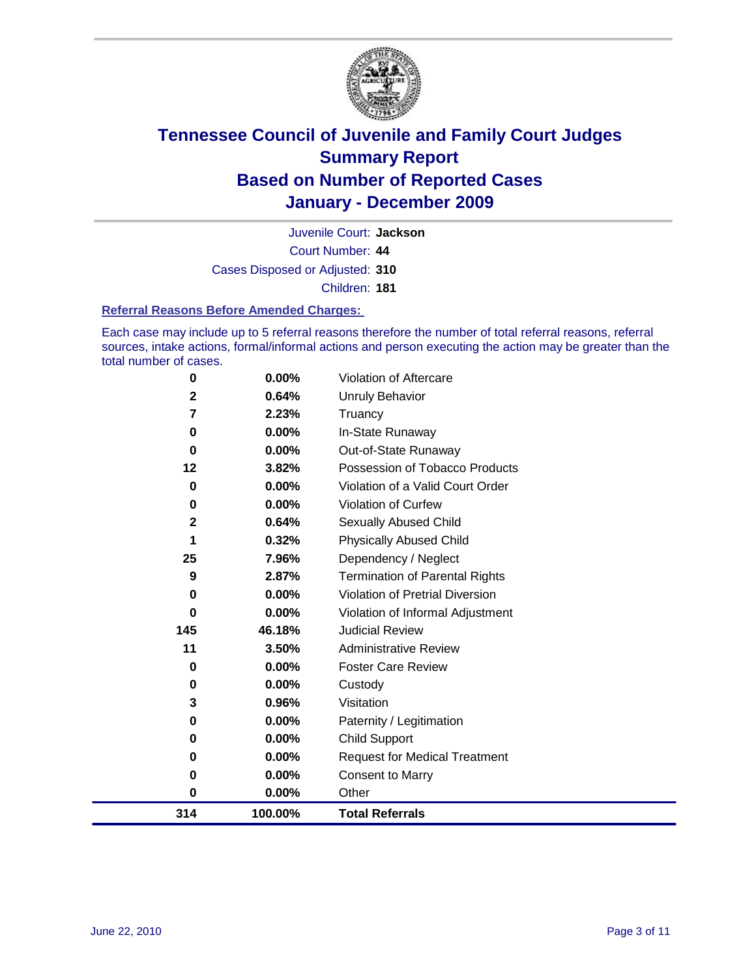

Court Number: **44** Juvenile Court: **Jackson** Cases Disposed or Adjusted: **310** Children: **181**

#### **Referral Reasons Before Amended Charges:**

Each case may include up to 5 referral reasons therefore the number of total referral reasons, referral sources, intake actions, formal/informal actions and person executing the action may be greater than the total number of cases.

| 0        | 0.00%   | Violation of Aftercare                 |
|----------|---------|----------------------------------------|
| 2        | 0.64%   | <b>Unruly Behavior</b>                 |
| 7        | 2.23%   | Truancy                                |
| $\bf{0}$ | 0.00%   | In-State Runaway                       |
| $\bf{0}$ | 0.00%   | Out-of-State Runaway                   |
| 12       | 3.82%   | Possession of Tobacco Products         |
| 0        | 0.00%   | Violation of a Valid Court Order       |
| $\bf{0}$ | 0.00%   | Violation of Curfew                    |
| 2        | 0.64%   | Sexually Abused Child                  |
|          | 0.32%   | <b>Physically Abused Child</b>         |
| 25       | 7.96%   | Dependency / Neglect                   |
| 9        | 2.87%   | <b>Termination of Parental Rights</b>  |
| $\bf{0}$ | 0.00%   | <b>Violation of Pretrial Diversion</b> |
| $\bf{0}$ | 0.00%   | Violation of Informal Adjustment       |
| 145      | 46.18%  | <b>Judicial Review</b>                 |
| 11       | 3.50%   | <b>Administrative Review</b>           |
| 0        | 0.00%   | <b>Foster Care Review</b>              |
| 0        | 0.00%   | Custody                                |
| 3        | 0.96%   | Visitation                             |
| 0        | 0.00%   | Paternity / Legitimation               |
| 0        | 0.00%   | <b>Child Support</b>                   |
| $\bf{0}$ | 0.00%   | <b>Request for Medical Treatment</b>   |
| 0        | 0.00%   | <b>Consent to Marry</b>                |
| $\bf{0}$ | 0.00%   | Other                                  |
| 314      | 100.00% | <b>Total Referrals</b>                 |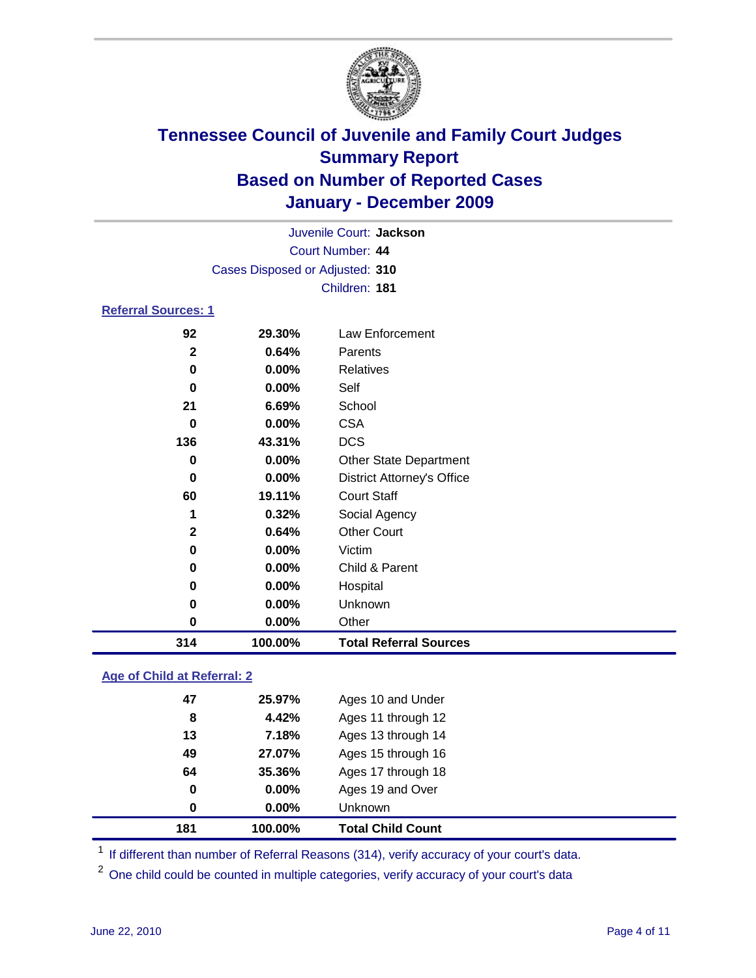

| Juvenile Court: Jackson         |                  |                                   |  |  |  |
|---------------------------------|------------------|-----------------------------------|--|--|--|
|                                 | Court Number: 44 |                                   |  |  |  |
| Cases Disposed or Adjusted: 310 |                  |                                   |  |  |  |
|                                 |                  | Children: 181                     |  |  |  |
| <b>Referral Sources: 1</b>      |                  |                                   |  |  |  |
| 92                              | 29.30%           | Law Enforcement                   |  |  |  |
| $\overline{\mathbf{2}}$         | 0.64%            | Parents                           |  |  |  |
| $\mathbf 0$                     | 0.00%            | <b>Relatives</b>                  |  |  |  |
| 0                               | 0.00%            | Self                              |  |  |  |
| 21                              | 6.69%            | School                            |  |  |  |
| $\bf{0}$                        | 0.00%            | <b>CSA</b>                        |  |  |  |
| 136                             | 43.31%           | <b>DCS</b>                        |  |  |  |
| 0                               | 0.00%            | Other State Department            |  |  |  |
| $\bf{0}$                        | 0.00%            | <b>District Attorney's Office</b> |  |  |  |
| 60                              | 19.11%           | <b>Court Staff</b>                |  |  |  |
| 1                               | 0.32%            | Social Agency                     |  |  |  |
| $\mathbf{2}$                    | 0.64%            | <b>Other Court</b>                |  |  |  |
| 0                               | 0.00%            | Victim                            |  |  |  |
| 0                               | 0.00%            | Child & Parent                    |  |  |  |
| 0                               | 0.00%            | Hospital                          |  |  |  |
| $\bf{0}$                        | 0.00%            | Unknown                           |  |  |  |
| $\bf{0}$                        | 0.00%            | Other                             |  |  |  |
| 314                             | 100.00%          | <b>Total Referral Sources</b>     |  |  |  |
|                                 |                  |                                   |  |  |  |

### **Age of Child at Referral: 2**

| 181 | 100.00%  | <b>Total Child Count</b> |
|-----|----------|--------------------------|
| 0   | $0.00\%$ | Unknown                  |
| 0   | 0.00%    | Ages 19 and Over         |
| 64  | 35.36%   | Ages 17 through 18       |
| 49  | 27.07%   | Ages 15 through 16       |
| 13  | 7.18%    | Ages 13 through 14       |
| 8   | 4.42%    | Ages 11 through 12       |
| 47  | 25.97%   | Ages 10 and Under        |
|     |          |                          |

<sup>1</sup> If different than number of Referral Reasons (314), verify accuracy of your court's data.

<sup>2</sup> One child could be counted in multiple categories, verify accuracy of your court's data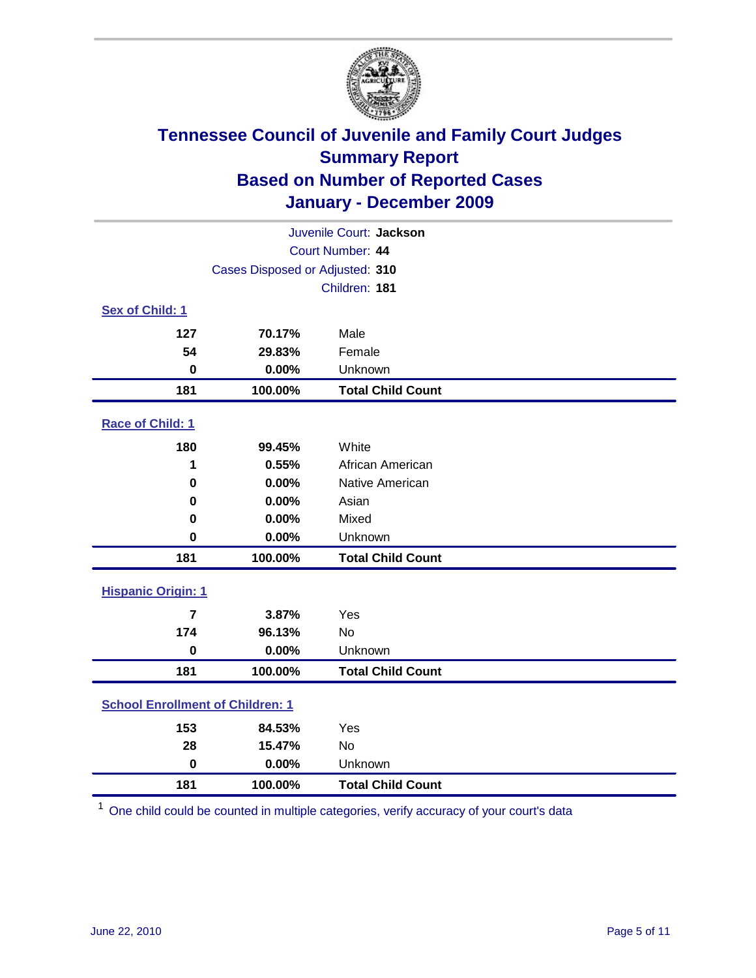

| Juvenile Court: Jackson                 |                                 |                          |  |  |  |
|-----------------------------------------|---------------------------------|--------------------------|--|--|--|
|                                         | Court Number: 44                |                          |  |  |  |
|                                         | Cases Disposed or Adjusted: 310 |                          |  |  |  |
|                                         |                                 | Children: 181            |  |  |  |
| Sex of Child: 1                         |                                 |                          |  |  |  |
| 127                                     | 70.17%                          | Male                     |  |  |  |
| 54                                      | 29.83%                          | Female                   |  |  |  |
| 0                                       | 0.00%                           | Unknown                  |  |  |  |
| 181                                     | 100.00%                         | <b>Total Child Count</b> |  |  |  |
| Race of Child: 1                        |                                 |                          |  |  |  |
| 180                                     | 99.45%                          | White                    |  |  |  |
| 1                                       | 0.55%                           | African American         |  |  |  |
| 0                                       | 0.00%                           | Native American          |  |  |  |
| $\mathbf 0$                             | 0.00%                           | Asian                    |  |  |  |
| 0                                       | 0.00%                           | Mixed                    |  |  |  |
| $\mathbf 0$                             | 0.00%                           | Unknown                  |  |  |  |
| 181                                     | 100.00%                         | <b>Total Child Count</b> |  |  |  |
| <b>Hispanic Origin: 1</b>               |                                 |                          |  |  |  |
| $\overline{7}$                          | 3.87%                           | Yes                      |  |  |  |
| 174                                     | 96.13%                          | <b>No</b>                |  |  |  |
| $\mathbf 0$                             | 0.00%                           | Unknown                  |  |  |  |
| 181                                     | 100.00%                         | <b>Total Child Count</b> |  |  |  |
| <b>School Enrollment of Children: 1</b> |                                 |                          |  |  |  |
| 153                                     | 84.53%                          | Yes                      |  |  |  |
| 28                                      | 15.47%                          | No                       |  |  |  |
| $\mathbf 0$                             | 0.00%                           | Unknown                  |  |  |  |
| 181                                     | 100.00%                         | <b>Total Child Count</b> |  |  |  |

One child could be counted in multiple categories, verify accuracy of your court's data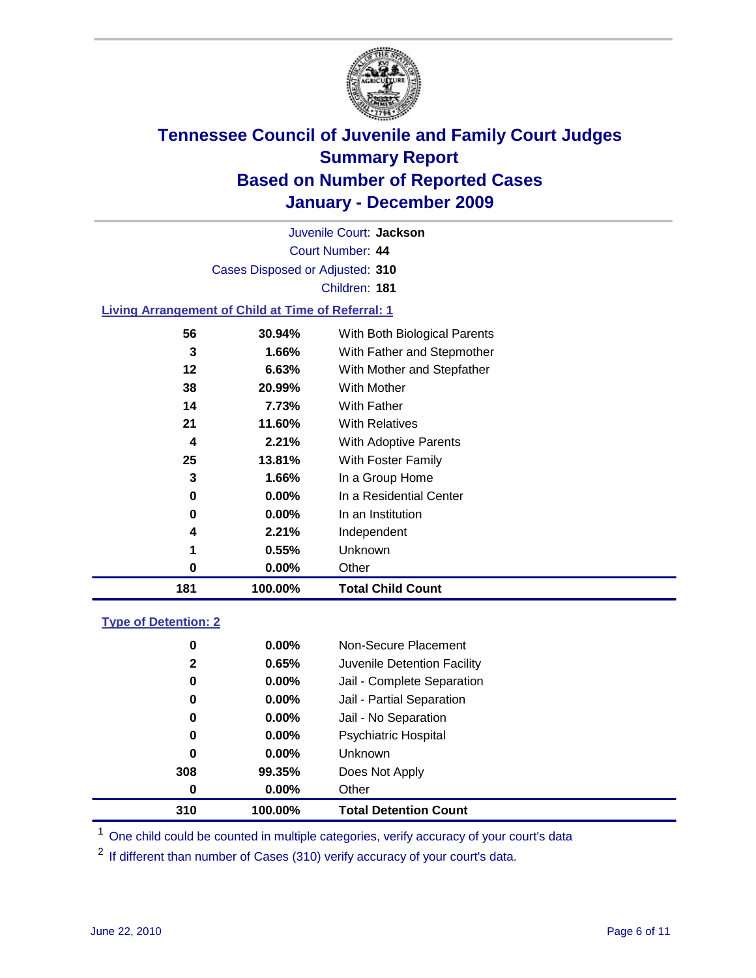

Court Number: **44** Juvenile Court: **Jackson** Cases Disposed or Adjusted: **310** Children: **181**

### **Living Arrangement of Child at Time of Referral: 1**

| 181 | 100.00%  | <b>Total Child Count</b>     |
|-----|----------|------------------------------|
| 0   | $0.00\%$ | Other                        |
| 1   | 0.55%    | Unknown                      |
| 4   | 2.21%    | Independent                  |
| 0   | $0.00\%$ | In an Institution            |
| 0   | $0.00\%$ | In a Residential Center      |
| 3   | 1.66%    | In a Group Home              |
| 25  | 13.81%   | With Foster Family           |
| 4   | 2.21%    | With Adoptive Parents        |
| 21  | 11.60%   | <b>With Relatives</b>        |
| 14  | 7.73%    | With Father                  |
| 38  | 20.99%   | With Mother                  |
| 12  | 6.63%    | With Mother and Stepfather   |
| 3   | 1.66%    | With Father and Stepmother   |
| 56  | 30.94%   | With Both Biological Parents |

### **Type of Detention: 2**

| 310 | 100.00%  | <b>Total Detention Count</b> |  |
|-----|----------|------------------------------|--|
| 0   | $0.00\%$ | Other                        |  |
| 308 | 99.35%   | Does Not Apply               |  |
| 0   | $0.00\%$ | <b>Unknown</b>               |  |
| 0   | 0.00%    | <b>Psychiatric Hospital</b>  |  |
| 0   | 0.00%    | Jail - No Separation         |  |
| 0   | $0.00\%$ | Jail - Partial Separation    |  |
| 0   | $0.00\%$ | Jail - Complete Separation   |  |
| 2   | 0.65%    | Juvenile Detention Facility  |  |
| 0   | $0.00\%$ | Non-Secure Placement         |  |
|     |          |                              |  |

<sup>1</sup> One child could be counted in multiple categories, verify accuracy of your court's data

<sup>2</sup> If different than number of Cases (310) verify accuracy of your court's data.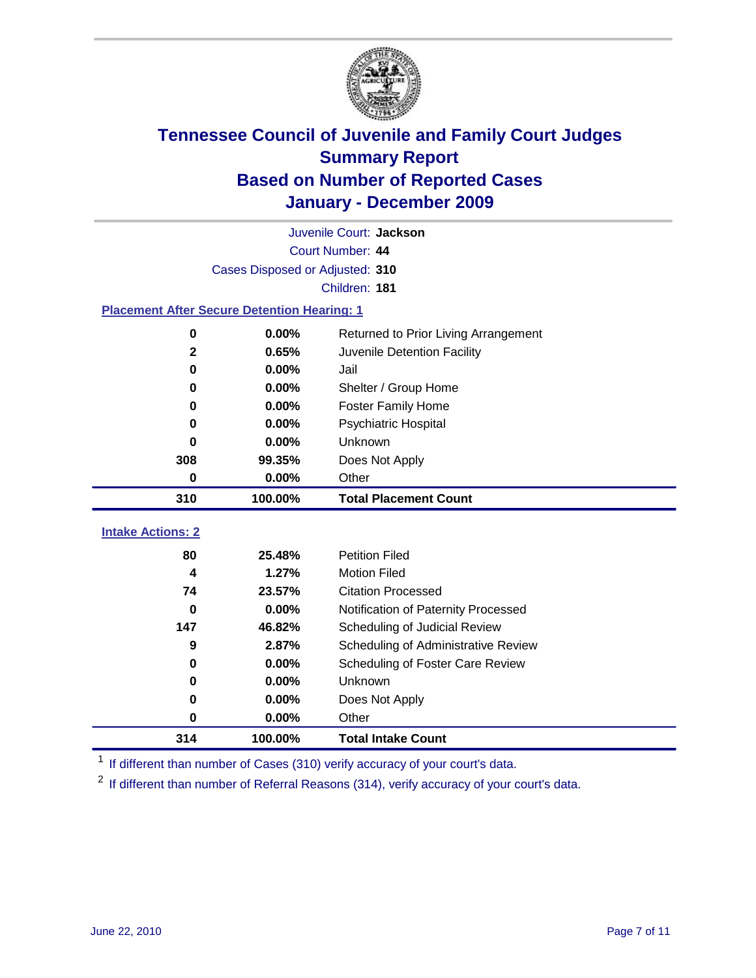

|                                                    | Juvenile Court: Jackson         |                                      |  |  |  |
|----------------------------------------------------|---------------------------------|--------------------------------------|--|--|--|
|                                                    | Court Number: 44                |                                      |  |  |  |
|                                                    | Cases Disposed or Adjusted: 310 |                                      |  |  |  |
|                                                    |                                 | Children: 181                        |  |  |  |
| <b>Placement After Secure Detention Hearing: 1</b> |                                 |                                      |  |  |  |
| $\mathbf 0$                                        | 0.00%                           | Returned to Prior Living Arrangement |  |  |  |
| $\mathbf{2}$                                       | 0.65%                           | Juvenile Detention Facility          |  |  |  |
| $\bf{0}$                                           | 0.00%                           | Jail                                 |  |  |  |
| $\bf{0}$                                           | 0.00%                           | Shelter / Group Home                 |  |  |  |
| 0                                                  | 0.00%                           | <b>Foster Family Home</b>            |  |  |  |
| 0                                                  | 0.00%                           | Psychiatric Hospital                 |  |  |  |
| U                                                  | 0.00%                           | Unknown                              |  |  |  |
| 308                                                | 99.35%                          | Does Not Apply                       |  |  |  |
| $\mathbf 0$                                        | 0.00%                           | Other                                |  |  |  |
| 310                                                | 100.00%                         | <b>Total Placement Count</b>         |  |  |  |
| <b>Intake Actions: 2</b>                           |                                 |                                      |  |  |  |
|                                                    |                                 |                                      |  |  |  |
| 80                                                 | 25.48%                          | <b>Petition Filed</b>                |  |  |  |
| 4                                                  | 1.27%                           | <b>Motion Filed</b>                  |  |  |  |
| 74                                                 | 23.57%                          | <b>Citation Processed</b>            |  |  |  |
| 0                                                  | 0.00%                           | Notification of Paternity Processed  |  |  |  |
| 147                                                | 46.82%                          | Scheduling of Judicial Review        |  |  |  |
| 9                                                  | 2.87%                           | Scheduling of Administrative Review  |  |  |  |
| 0                                                  | 0.00%                           | Scheduling of Foster Care Review     |  |  |  |
| $\bf{0}$                                           | 0.00%                           | <b>Unknown</b>                       |  |  |  |
| 0                                                  | 0.00%                           | Does Not Apply                       |  |  |  |
| 0                                                  | 0.00%                           | Other                                |  |  |  |
| 314                                                | 100.00%                         | <b>Total Intake Count</b>            |  |  |  |

<sup>1</sup> If different than number of Cases (310) verify accuracy of your court's data.

<sup>2</sup> If different than number of Referral Reasons (314), verify accuracy of your court's data.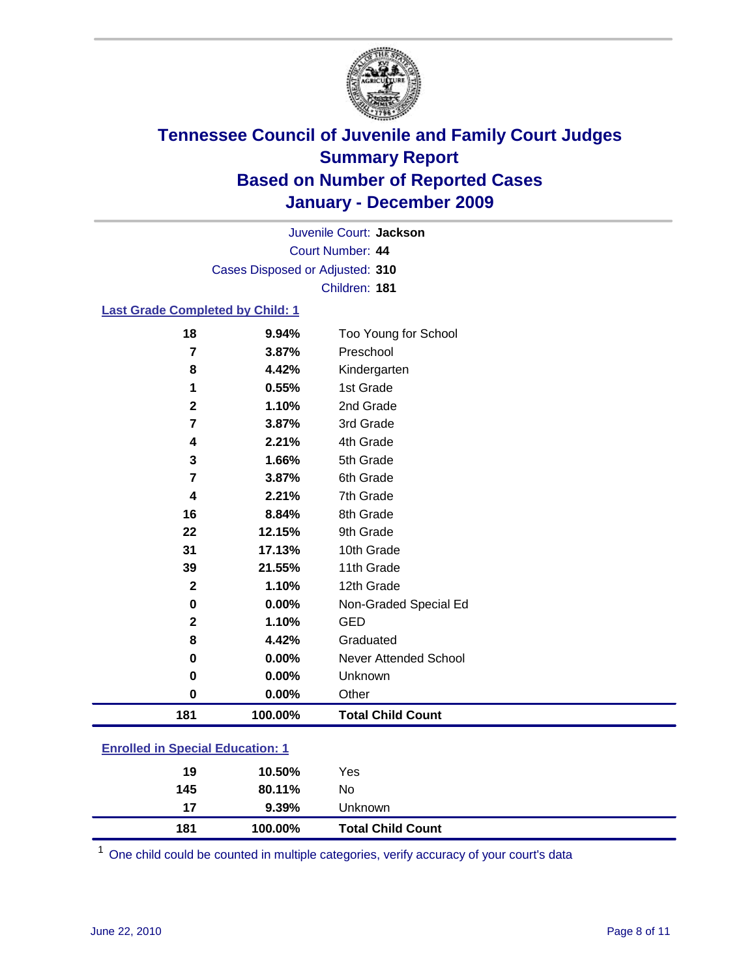

Court Number: **44** Juvenile Court: **Jackson** Cases Disposed or Adjusted: **310** Children: **181**

### **Last Grade Completed by Child: 1**

| 18                                      | 9.94%   | Too Young for School         |  |
|-----------------------------------------|---------|------------------------------|--|
| 7                                       | 3.87%   | Preschool                    |  |
| 8                                       | 4.42%   | Kindergarten                 |  |
| 1                                       | 0.55%   | 1st Grade                    |  |
| $\mathbf 2$                             | 1.10%   | 2nd Grade                    |  |
| 7                                       | 3.87%   | 3rd Grade                    |  |
| 4                                       | 2.21%   | 4th Grade                    |  |
| 3                                       | 1.66%   | 5th Grade                    |  |
| 7                                       | 3.87%   | 6th Grade                    |  |
| 4                                       | 2.21%   | 7th Grade                    |  |
| 16                                      | 8.84%   | 8th Grade                    |  |
| 22                                      | 12.15%  | 9th Grade                    |  |
| 31                                      | 17.13%  | 10th Grade                   |  |
| 39                                      | 21.55%  | 11th Grade                   |  |
| $\mathbf{2}$                            | 1.10%   | 12th Grade                   |  |
| $\bf{0}$                                | 0.00%   | Non-Graded Special Ed        |  |
| $\mathbf{2}$                            | 1.10%   | <b>GED</b>                   |  |
| 8                                       | 4.42%   | Graduated                    |  |
| 0                                       | 0.00%   | <b>Never Attended School</b> |  |
| 0                                       | 0.00%   | Unknown                      |  |
| 0                                       | 0.00%   | Other                        |  |
| 181                                     | 100.00% | <b>Total Child Count</b>     |  |
| <b>Enrolled in Special Education: 1</b> |         |                              |  |
|                                         |         |                              |  |

| <b>Total Child Count</b> |                                         |
|--------------------------|-----------------------------------------|
| Unknown                  |                                         |
| No                       |                                         |
| Yes                      |                                         |
|                          | 10.50%<br>80.11%<br>$9.39\%$<br>100.00% |

One child could be counted in multiple categories, verify accuracy of your court's data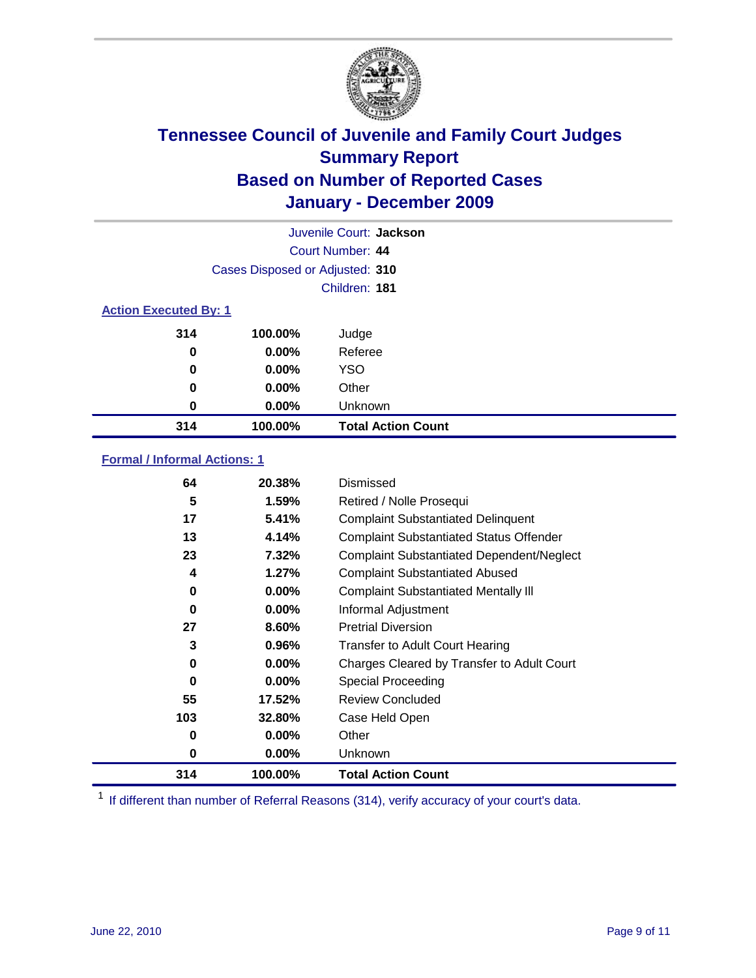

| Juvenile Court: Jackson      |                                 |                           |  |  |  |
|------------------------------|---------------------------------|---------------------------|--|--|--|
|                              | Court Number: 44                |                           |  |  |  |
|                              | Cases Disposed or Adjusted: 310 |                           |  |  |  |
|                              | Children: 181                   |                           |  |  |  |
| <b>Action Executed By: 1</b> |                                 |                           |  |  |  |
| 314                          | 100.00%                         | Judge                     |  |  |  |
| 0                            | $0.00\%$                        | Referee                   |  |  |  |
| 0                            | $0.00\%$                        | <b>YSO</b>                |  |  |  |
| 0                            | $0.00\%$                        | Other                     |  |  |  |
| 0                            | $0.00\%$                        | Unknown                   |  |  |  |
| 314                          | 100.00%                         | <b>Total Action Count</b> |  |  |  |

### **Formal / Informal Actions: 1**

| 64  | 20.38%   | Dismissed                                        |
|-----|----------|--------------------------------------------------|
| 5   | 1.59%    | Retired / Nolle Prosequi                         |
| 17  | 5.41%    | <b>Complaint Substantiated Delinquent</b>        |
| 13  | 4.14%    | <b>Complaint Substantiated Status Offender</b>   |
| 23  | 7.32%    | <b>Complaint Substantiated Dependent/Neglect</b> |
| 4   | 1.27%    | <b>Complaint Substantiated Abused</b>            |
| 0   | $0.00\%$ | <b>Complaint Substantiated Mentally III</b>      |
| 0   | $0.00\%$ | Informal Adjustment                              |
| 27  | 8.60%    | <b>Pretrial Diversion</b>                        |
| 3   | 0.96%    | <b>Transfer to Adult Court Hearing</b>           |
| 0   | $0.00\%$ | Charges Cleared by Transfer to Adult Court       |
| 0   | $0.00\%$ | Special Proceeding                               |
| 55  | 17.52%   | <b>Review Concluded</b>                          |
| 103 | 32.80%   | Case Held Open                                   |
| 0   | $0.00\%$ | Other                                            |
| 0   | $0.00\%$ | <b>Unknown</b>                                   |
| 314 | 100.00%  | <b>Total Action Count</b>                        |

<sup>1</sup> If different than number of Referral Reasons (314), verify accuracy of your court's data.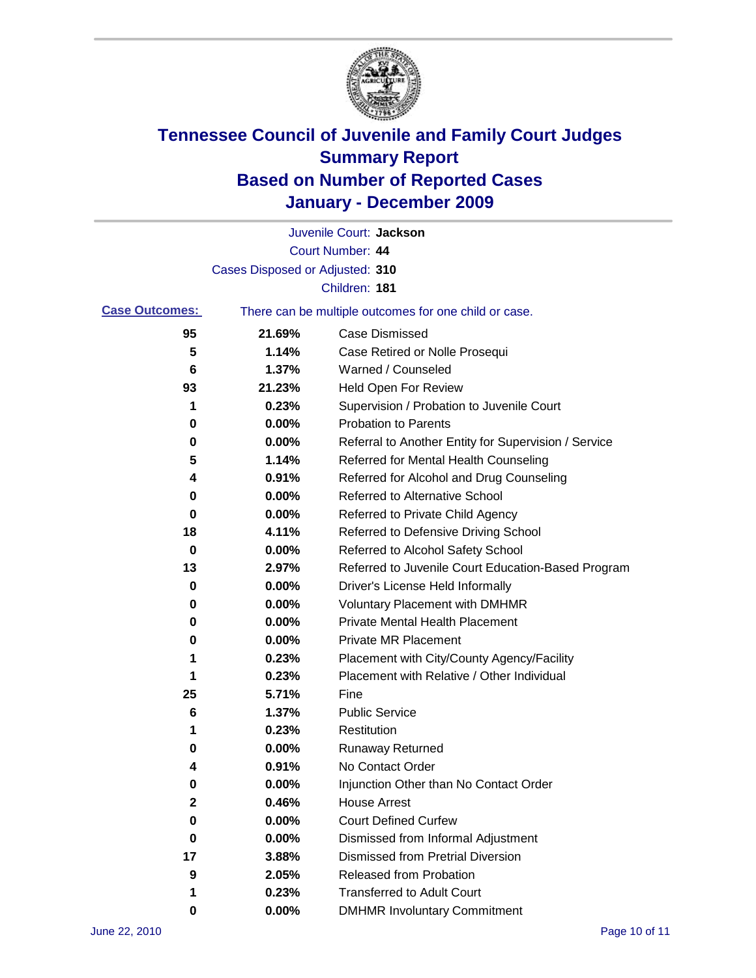

|                       |                                 | Juvenile Court: Jackson                               |
|-----------------------|---------------------------------|-------------------------------------------------------|
|                       |                                 | Court Number: 44                                      |
|                       | Cases Disposed or Adjusted: 310 |                                                       |
|                       |                                 | Children: 181                                         |
| <b>Case Outcomes:</b> |                                 | There can be multiple outcomes for one child or case. |
| 95                    | 21.69%                          | <b>Case Dismissed</b>                                 |
| 5                     | 1.14%                           | Case Retired or Nolle Prosequi                        |
| 6                     | 1.37%                           | Warned / Counseled                                    |
| 93                    | 21.23%                          | Held Open For Review                                  |
| 1                     | 0.23%                           | Supervision / Probation to Juvenile Court             |
| 0                     | 0.00%                           | <b>Probation to Parents</b>                           |
| 0                     | 0.00%                           | Referral to Another Entity for Supervision / Service  |
| 5                     | 1.14%                           | Referred for Mental Health Counseling                 |
| 4                     | 0.91%                           | Referred for Alcohol and Drug Counseling              |
| 0                     | 0.00%                           | Referred to Alternative School                        |
| 0                     | 0.00%                           | Referred to Private Child Agency                      |
| 18                    | 4.11%                           | Referred to Defensive Driving School                  |
| 0                     | 0.00%                           | Referred to Alcohol Safety School                     |
| 13                    | 2.97%                           | Referred to Juvenile Court Education-Based Program    |
| 0                     | 0.00%                           | Driver's License Held Informally                      |
| 0                     | 0.00%                           | <b>Voluntary Placement with DMHMR</b>                 |
| 0                     | 0.00%                           | Private Mental Health Placement                       |
| 0                     | 0.00%                           | <b>Private MR Placement</b>                           |
| 1                     | 0.23%                           | Placement with City/County Agency/Facility            |
| 1                     | 0.23%                           | Placement with Relative / Other Individual            |
| 25                    | 5.71%                           | Fine                                                  |
| 6                     | 1.37%                           | <b>Public Service</b>                                 |
| 1                     | 0.23%                           | Restitution                                           |
| 0                     | 0.00%                           | <b>Runaway Returned</b>                               |
| 4                     | 0.91%                           | No Contact Order                                      |
| $\bf{0}$              | 0.00%                           | Injunction Other than No Contact Order                |
| 2                     | 0.46%                           | <b>House Arrest</b>                                   |
| 0                     | $0.00\%$                        | <b>Court Defined Curfew</b>                           |
| 0                     | $0.00\%$                        | Dismissed from Informal Adjustment                    |
| 17                    | 3.88%                           | <b>Dismissed from Pretrial Diversion</b>              |
| 9                     | 2.05%                           | Released from Probation                               |
| 1                     | 0.23%                           | <b>Transferred to Adult Court</b>                     |
| 0                     | $0.00\%$                        | <b>DMHMR Involuntary Commitment</b>                   |